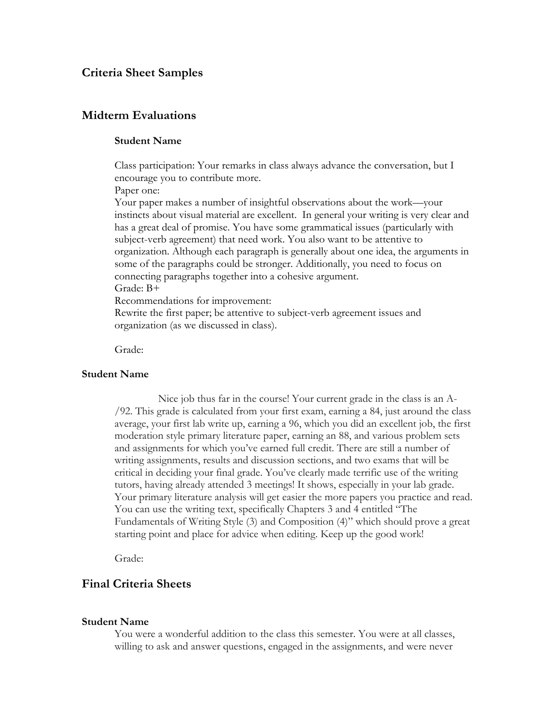## **Criteria Sheet Samples**

# **Midterm Evaluations**

## **Student Name**

Class participation: Your remarks in class always advance the conversation, but I encourage you to contribute more.

Paper one:

Your paper makes a number of insightful observations about the work—your instincts about visual material are excellent. In general your writing is very clear and has a great deal of promise. You have some grammatical issues (particularly with subject-verb agreement) that need work. You also want to be attentive to organization. Although each paragraph is generally about one idea, the arguments in some of the paragraphs could be stronger. Additionally, you need to focus on connecting paragraphs together into a cohesive argument.

Grade: B+

Recommendations for improvement:

Rewrite the first paper; be attentive to subject-verb agreement issues and organization (as we discussed in class).

Grade:

### **Student Name**

Nice job thus far in the course! Your current grade in the class is an A- /92. This grade is calculated from your first exam, earning a 84, just around the class average, your first lab write up, earning a 96, which you did an excellent job, the first moderation style primary literature paper, earning an 88, and various problem sets and assignments for which you've earned full credit. There are still a number of writing assignments, results and discussion sections, and two exams that will be critical in deciding your final grade. You've clearly made terrific use of the writing tutors, having already attended 3 meetings! It shows, especially in your lab grade. Your primary literature analysis will get easier the more papers you practice and read. You can use the writing text, specifically Chapters 3 and 4 entitled "The Fundamentals of Writing Style (3) and Composition (4)" which should prove a great starting point and place for advice when editing. Keep up the good work!

Grade:

## **Final Criteria Sheets**

#### **Student Name**

You were a wonderful addition to the class this semester. You were at all classes, willing to ask and answer questions, engaged in the assignments, and were never